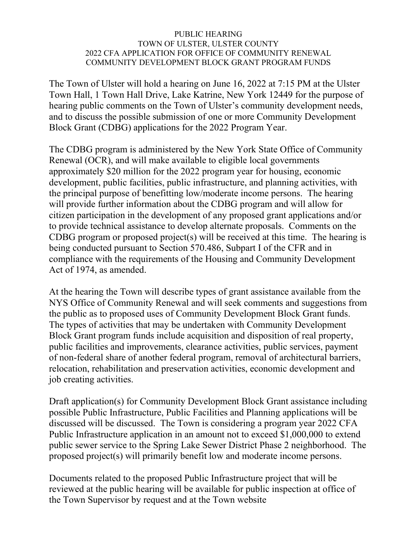## PUBLIC HEARING TOWN OF ULSTER, ULSTER COUNTY 2022 CFA APPLICATION FOR OFFICE OF COMMUNITY RENEWAL COMMUNITY DEVELOPMENT BLOCK GRANT PROGRAM FUNDS

The Town of Ulster will hold a hearing on June 16, 2022 at 7:15 PM at the Ulster Town Hall, 1 Town Hall Drive, Lake Katrine, New York 12449 for the purpose of hearing public comments on the Town of Ulster's community development needs, and to discuss the possible submission of one or more Community Development Block Grant (CDBG) applications for the 2022 Program Year.

The CDBG program is administered by the New York State Office of Community Renewal (OCR), and will make available to eligible local governments approximately \$20 million for the 2022 program year for housing, economic development, public facilities, public infrastructure, and planning activities, with the principal purpose of benefitting low/moderate income persons. The hearing will provide further information about the CDBG program and will allow for citizen participation in the development of any proposed grant applications and/or to provide technical assistance to develop alternate proposals. Comments on the CDBG program or proposed project(s) will be received at this time. The hearing is being conducted pursuant to Section 570.486, Subpart I of the CFR and in compliance with the requirements of the Housing and Community Development Act of 1974, as amended.

At the hearing the Town will describe types of grant assistance available from the NYS Office of Community Renewal and will seek comments and suggestions from the public as to proposed uses of Community Development Block Grant funds. The types of activities that may be undertaken with Community Development Block Grant program funds include acquisition and disposition of real property, public facilities and improvements, clearance activities, public services, payment of non-federal share of another federal program, removal of architectural barriers, relocation, rehabilitation and preservation activities, economic development and job creating activities.

Draft application(s) for Community Development Block Grant assistance including possible Public Infrastructure, Public Facilities and Planning applications will be discussed will be discussed. The Town is considering a program year 2022 CFA Public Infrastructure application in an amount not to exceed \$1,000,000 to extend public sewer service to the Spring Lake Sewer District Phase 2 neighborhood. The proposed project(s) will primarily benefit low and moderate income persons.

Documents related to the proposed Public Infrastructure project that will be reviewed at the public hearing will be available for public inspection at office of the Town Supervisor by request and at the Town website